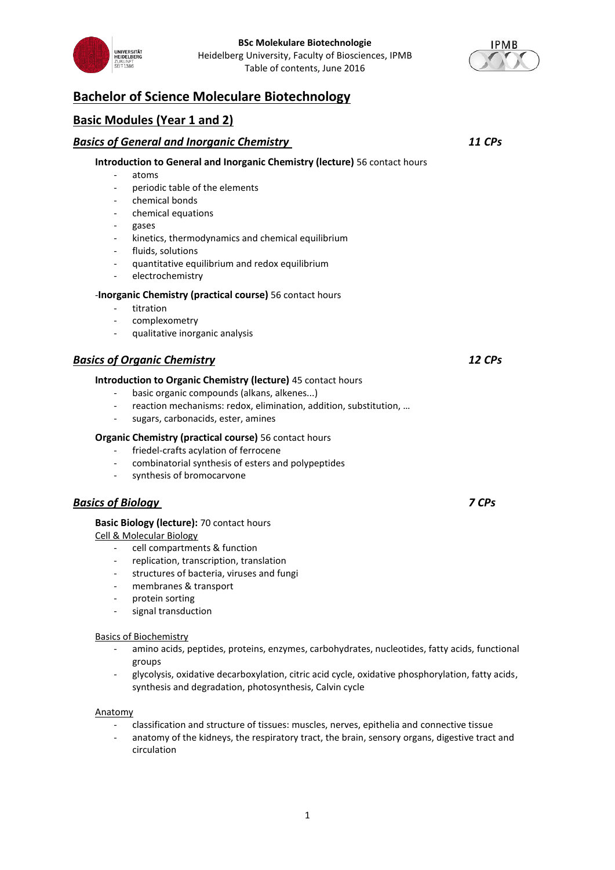



# **Bachelor of Science Moleculare Biotechnology**

# **Basic Modules (Year 1 and 2)**

# *Basics of General and Inorganic Chemistry 11 CPs* **Introduction to General and Inorganic Chemistry (lecture)** 56 contact hours - atoms - periodic table of the elements - chemical bonds chemical equations gases kinetics, thermodynamics and chemical equilibrium fluids, solutions - quantitative equilibrium and redox equilibrium electrochemistry -**Inorganic Chemistry (practical course)** 56 contact hours titration complexometry qualitative inorganic analysis *Basics of Organic Chemistry 12 CPs* **Introduction to Organic Chemistry (lecture)** 45 contact hours basic organic compounds (alkans, alkenes...) reaction mechanisms: redox, elimination, addition, substitution, ... sugars, carbonacids, ester, amines **Organic Chemistry (practical course)** 56 contact hours

- friedel-crafts acylation of ferrocene
- combinatorial synthesis of esters and polypeptides
- synthesis of bromocarvone

# *Basics of Biology 7 CPs*

## **Basic Biology (lecture):** 70 contact hours

Cell & Molecular Biology

- cell compartments & function
- replication, transcription, translation
- structures of bacteria, viruses and fungi
- membranes & transport
- protein sorting
- signal transduction

## Basics of Biochemistry

- amino acids, peptides, proteins, enzymes, carbohydrates, nucleotides, fatty acids, functional groups
- glycolysis, oxidative decarboxylation, citric acid cycle, oxidative phosphorylation, fatty acids, synthesis and degradation, photosynthesis, Calvin cycle

#### Anatomy

- classification and structure of tissues: muscles, nerves, epithelia and connective tissue
- anatomy of the kidneys, the respiratory tract, the brain, sensory organs, digestive tract and circulation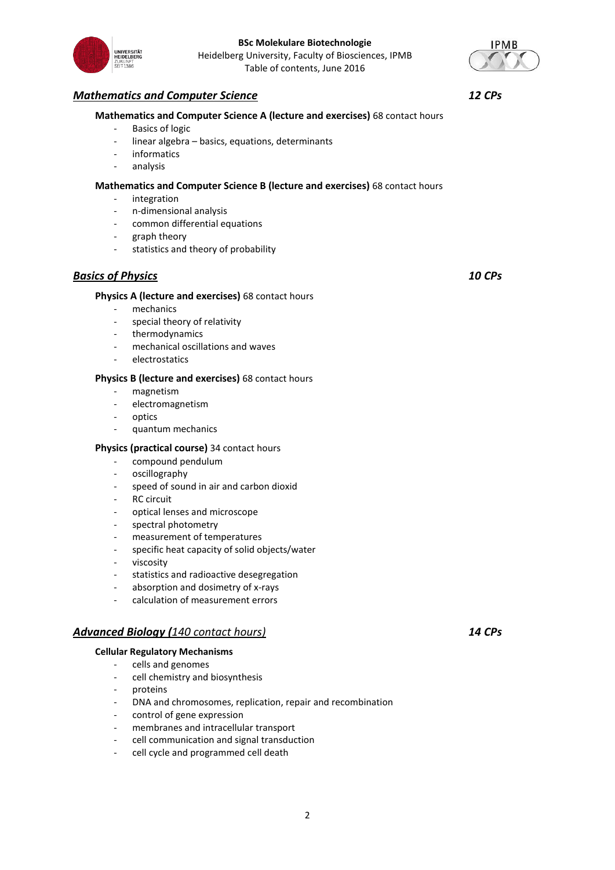

# *Mathematics and Computer Science 12 CPs*

## **Mathematics and Computer Science A (lecture and exercises)** 68 contact hours

- Basics of logic
- linear algebra basics, equations, determinants
- informatics
- analysis

## **Mathematics and Computer Science B (lecture and exercises)** 68 contact hours

- integration
- n-dimensional analysis
- common differential equations
- graph theory
- statistics and theory of probability

# *Basics of Physics 10 CPs*

## **Physics A (lecture and exercises)** 68 contact hours

- mechanics
- special theory of relativity
- thermodynamics
- mechanical oscillations and waves
- electrostatics

## **Physics B (lecture and exercises)** 68 contact hours

- magnetism
- electromagnetism
- optics
- quantum mechanics

## **Physics (practical course)** 34 contact hours

- compound pendulum
- oscillography
- speed of sound in air and carbon dioxid
- RC circuit
- optical lenses and microscope
- spectral photometry
- measurement of temperatures
- specific heat capacity of solid objects/water
- viscosity
- statistics and radioactive desegregation
- absorption and dosimetry of x-rays
- calculation of measurement errors

## *Advanced Biology (140 contact hours) 14 CPs*

#### **Cellular Regulatory Mechanisms**

- cells and genomes
- cell chemistry and biosynthesis
- proteins
- DNA and chromosomes, replication, repair and recombination
- control of gene expression
- membranes and intracellular transport
- cell communication and signal transduction
- cell cycle and programmed cell death



**IPMB**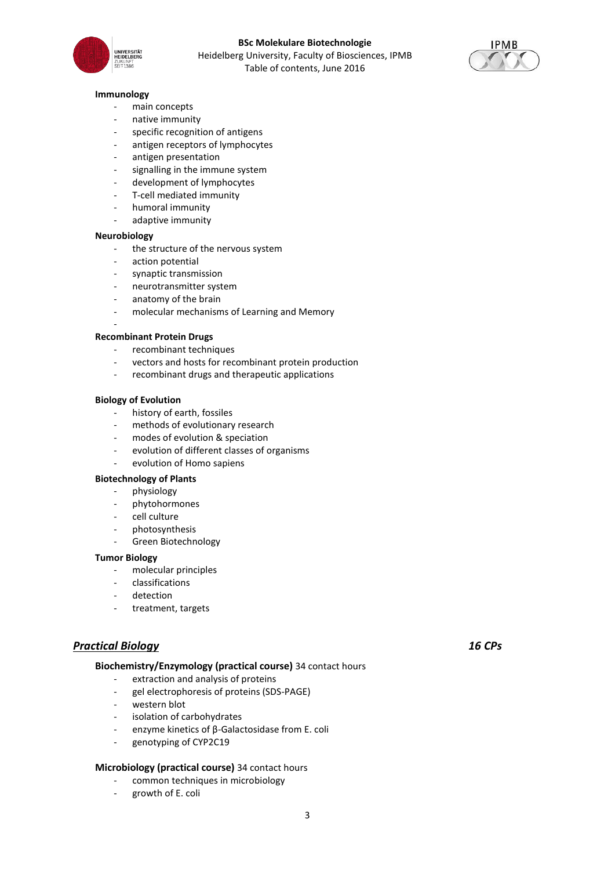



#### **Immunology**

- main concepts
- native immunity
- specific recognition of antigens
- antigen receptors of lymphocytes
- antigen presentation
- signalling in the immune system
- development of lymphocytes
- T-cell mediated immunity
- humoral immunity
- adaptive immunity

#### **Neurobiology**

-

- the structure of the nervous system
- action potential
- synaptic transmission
- neurotransmitter system
- anatomy of the brain
- molecular mechanisms of Learning and Memory

#### **Recombinant Protein Drugs**

- recombinant techniques
- vectors and hosts for recombinant protein production
- recombinant drugs and therapeutic applications

#### **Biology of Evolution**

- history of earth, fossiles
- methods of evolutionary research
- modes of evolution & speciation
- evolution of different classes of organisms
- evolution of Homo sapiens

#### **Biotechnology of Plants**

- physiology
- phytohormones
- cell culture
- photosynthesis
- Green Biotechnology

### **Tumor Biology**

- molecular principles
- classifications
- detection
- treatment, targets

# *Practical Biology 16 CPs*

## **Biochemistry/Enzymology (practical course)** 34 contact hours

- extraction and analysis of proteins
- gel electrophoresis of proteins (SDS-PAGE)
- western blot
- isolation of carbohydrates
- enzyme kinetics of β-Galactosidase from E. coli
- genotyping of CYP2C19

## **Microbiology (practical course)** 34 contact hours

- common techniques in microbiology
- growth of E. coli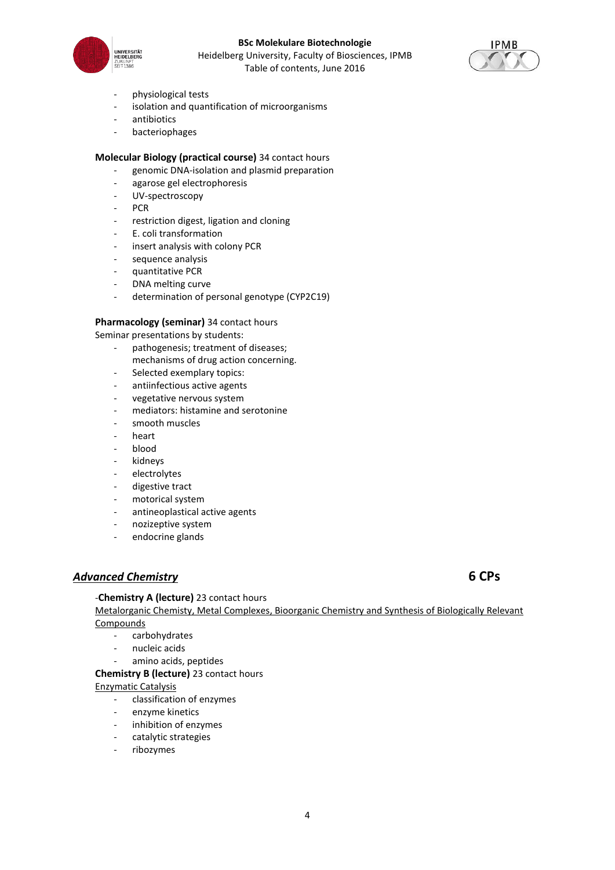

## **BSc Molekulare Biotechnologie** Heidelberg University, Faculty of Biosciences, IPMB

Table of contents, June 2016



- physiological tests
- isolation and quantification of microorganisms
- antibiotics
- bacteriophages

## **Molecular Biology (practical course)** 34 contact hours

- genomic DNA-isolation and plasmid preparation
- agarose gel electrophoresis
- UV-spectroscopy
- PCR
- restriction digest, ligation and cloning
- E. coli transformation
- insert analysis with colony PCR
- sequence analysis
- quantitative PCR
- DNA melting curve
- determination of personal genotype (CYP2C19)

## **Pharmacology (seminar)** 34 contact hours

Seminar presentations by students:

- pathogenesis; treatment of diseases; mechanisms of drug action concerning.
- Selected exemplary topics:
- antiinfectious active agents
- vegetative nervous system
- mediators: histamine and serotonine
- smooth muscles
- heart
- blood
- kidneys
- electrolytes
- digestive tract
- motorical system
- antineoplastical active agents
- nozizeptive system
- endocrine glands

# *Advanced Chemistry* **6 CPs**

# -**Chemistry A (lecture)** 23 contact hours

Metalorganic Chemisty, Metal Complexes, Bioorganic Chemistry and Synthesis of Biologically Relevant Compounds

- carbohydrates
- nucleic acids
- amino acids, peptides

# **Chemistry B (lecture)** 23 contact hours

Enzymatic Catalysis

- classification of enzymes
- enzyme kinetics
- inhibition of enzymes
- catalytic strategies
- ribozymes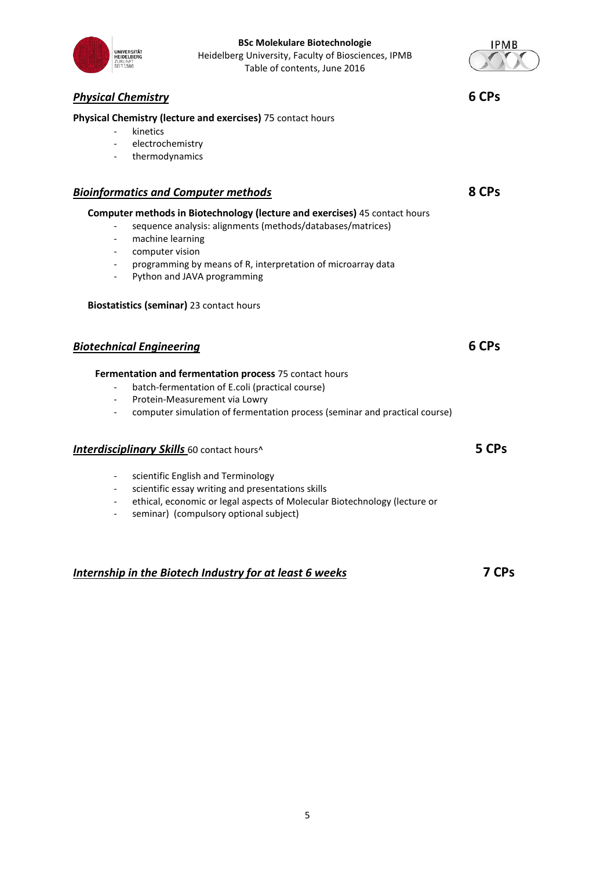# **Physical Chemistry (lecture and exercises)** 75 contact hours

- kinetics
- electrochemistry
- thermodynamics

# *Bioinformatics and Computer methods* **8 CPs**

# **Computer methods in Biotechnology (lecture and exercises)** 45 contact hours

- sequence analysis: alignments (methods/databases/matrices)
- machine learning
- computer vision
- programming by means of R, interpretation of microarray data
- Python and JAVA programming

# **Biostatistics (seminar)** 23 contact hours

# *Biotechnical Engineering* **6 CPs**

# **Fermentation and fermentation process** 75 contact hours

- batch-fermentation of E.coli (practical course)
- Protein-Measurement via Lowry
- computer simulation of fermentation process (seminar and practical course)

# *Interdisciplinary Skills* 60 contact hours^ **5 CPs**

- scientific English and Terminology
- scientific essay writing and presentations skills
- ethical, economic or legal aspects of Molecular Biotechnology (lecture or
- seminar) (compulsory optional subject)

# *Internship in the Biotech Industry for at least 6 weeks* **7 CPs**



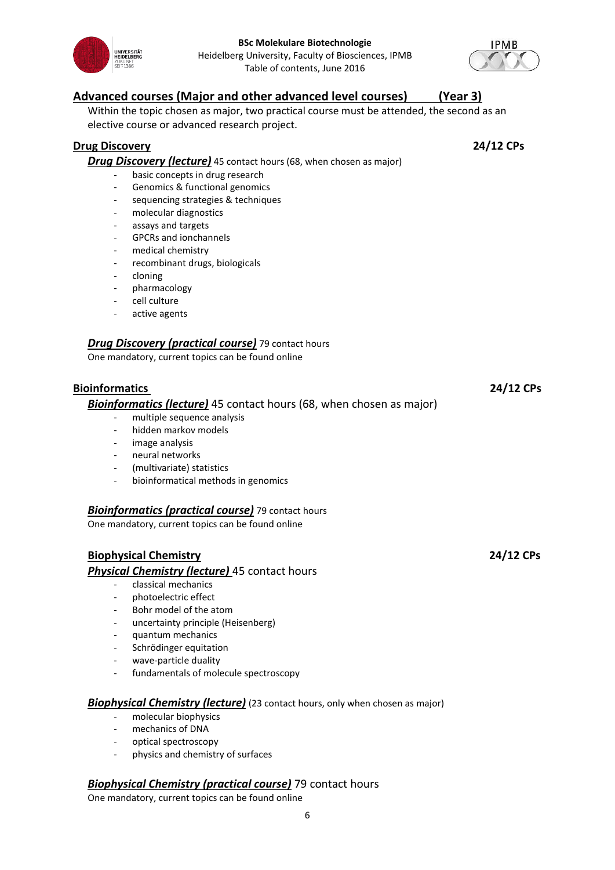



# **Advanced courses (Major and other advanced level courses) (Year 3)**

Within the topic chosen as major, two practical course must be attended, the second as an elective course or advanced research project.

# **Drug Discovery 24/12 CPs**

**Drug Discovery (lecture)** 45 contact hours (68, when chosen as major)

- basic concepts in drug research
- Genomics & functional genomics
- sequencing strategies & techniques
- molecular diagnostics
- assays and targets
- GPCRs and ionchannels
- medical chemistry
- recombinant drugs, biologicals
- cloning
- pharmacology
- cell culture
- active agents

# *Drug Discovery (practical course)* 79 contact hours

One mandatory, current topics can be found online

# **Bioinformatics 24/12 CPs**

# *Bioinformatics (lecture)* 45 contact hours (68, when chosen as major)

- multiple sequence analysis
- hidden markov models
- image analysis
- neural networks
- (multivariate) statistics
- bioinformatical methods in genomics

# *Bioinformatics (practical course)* 79 contact hours

One mandatory, current topics can be found online

# **Biophysical Chemistry 24/12 CPs**

*Physical Chemistry (lecture)* 45 contact hours

- classical mechanics
- photoelectric effect
- Bohr model of the atom
- uncertainty principle (Heisenberg)
- quantum mechanics
- Schrödinger equitation
- wave-particle duality
- fundamentals of molecule spectroscopy

# **Biophysical Chemistry (lecture)** (23 contact hours, only when chosen as major)

- molecular biophysics
- mechanics of DNA
- optical spectroscopy
- physics and chemistry of surfaces

# *Biophysical Chemistry (practical course)* 79 contact hours

One mandatory, current topics can be found online